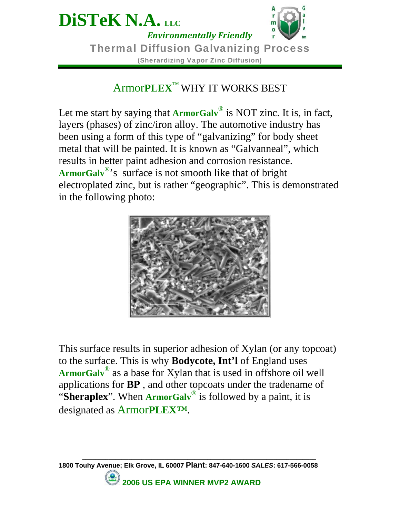

### Armor**PLEX**™ WHY IT WORKS BEST

Let me start by saying that **ArmorGalv**<sup>®</sup> is NOT zinc. It is, in fact, layers (phases) of zinc/iron alloy. The automotive industry has been using a form of this type of "galvanizing" for body sheet metal that will be painted. It is known as "Galvanneal", which results in better paint adhesion and corrosion resistance. **ArmorGalv**®'s surface is not smooth like that of bright electroplated zinc, but is rather "geographic". This is demonstrated in the following photo:



This surface results in superior adhesion of Xylan (or any topcoat) to the surface. This is why **Bodycote, Int'l** of England uses **ArmorGalv**® as a base for Xylan that is used in offshore oil well applications for **BP** , and other topcoats under the tradename of "**Sheraplex**". When **ArmorGalv**® is followed by a paint, it is designated as Armor**PLEX***™*.

**1800 Touhy Avenue; Elk Grove, IL 60007 Plant: 847-640-1600** *SALES***: 617-566-0058** 

**\_\_\_\_\_\_\_\_\_\_\_\_\_\_\_\_\_\_\_\_\_\_\_\_\_\_\_\_\_\_\_\_\_\_\_\_\_\_\_\_\_\_\_\_\_\_\_\_\_\_\_\_\_\_\_\_\_\_\_\_\_\_\_\_\_\_\_\_\_\_\_** 

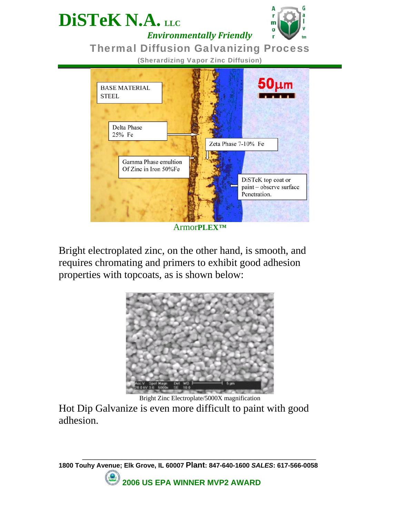

*Environmentally Friendly*

**DiSTeK N.A. LLC** 

#### Thermal Diffusion Galvanizing Process

(Sherardizing Vapor Zinc Diffusion)



Armor**PLEX***™*

Bright electroplated zinc, on the other hand, is smooth, and requires chromating and primers to exhibit good adhesion properties with topcoats, as is shown below:



Bright Zinc Electroplate/5000X magnification

**\_\_\_\_\_\_\_\_\_\_\_\_\_\_\_\_\_\_\_\_\_\_\_\_\_\_\_\_\_\_\_\_\_\_\_\_\_\_\_\_\_\_\_\_\_\_\_\_\_\_\_\_\_\_\_\_\_\_\_\_\_\_\_\_\_\_\_\_\_\_\_** 

Hot Dip Galvanize is even more difficult to paint with good adhesion.

**1800 Touhy Avenue; Elk Grove, IL 60007 Plant: 847-640-1600** *SALES***: 617-566-0058 2006 US EPA WINNER MVP2 AWARD**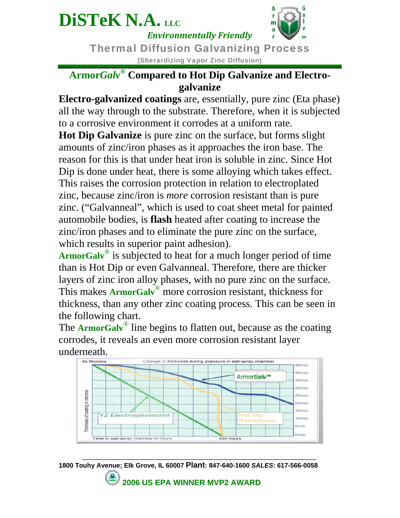# **DiSTeK N.A. LLC**



*Environmentally Friendly*

Thermal Diffusion Galvanizing Process (Sherardizing Vapor Zinc Diffusion)

#### **Armor***Galv***® Compared to Hot Dip Galvanize and Electrogalvanize**

**Electro-galvanized coatings** are, essentially, pure zinc (Eta phase) all the way through to the substrate. Therefore, when it is subjected to a corrosive environment it corrodes at a uniform rate.

**Hot Dip Galvanize** is pure zinc on the surface, but forms slight amounts of zinc/iron phases as it approaches the iron base. The reason for this is that under heat iron is soluble in zinc. Since Hot Dip is done under heat, there is some alloying which takes effect. This raises the corrosion protection in relation to electroplated zinc, because zinc/iron is *more* corrosion resistant than is pure zinc. ("Galvanneal", which is used to coat sheet metal for painted automobile bodies, is **flash** heated after coating to increase the zinc/iron phases and to eliminate the pure zinc on the surface, which results in superior paint adhesion).

ArmorGalv<sup>®</sup> is subjected to heat for a much longer period of time than is Hot Dip or even Galvanneal. Therefore, there are thicker layers of zinc iron alloy phases, with no pure zinc on the surface. This makes **ArmorGalv**® more corrosion resistant, thickness for thickness, than any other zinc coating process. This can be seen in the following chart.

The **ArmorGalv<sup>®</sup>** line begins to flatten out, because as the coating corrodes, it reveals an even more corrosion resistant layer underneath.



**1800 Touhy Avenue; Elk Grove, IL 60007 Plant: 847-640-1600** *SALES***: 617-566-0058** 

**\_\_\_\_\_\_\_\_\_\_\_\_\_\_\_\_\_\_\_\_\_\_\_\_\_\_\_\_\_\_\_\_\_\_\_\_\_\_\_\_\_\_\_\_\_\_\_\_\_\_\_\_\_\_\_\_\_\_\_\_\_\_\_\_\_\_\_\_\_\_\_** 

 **2006 US EPA WINNER MVP2 AWARD**